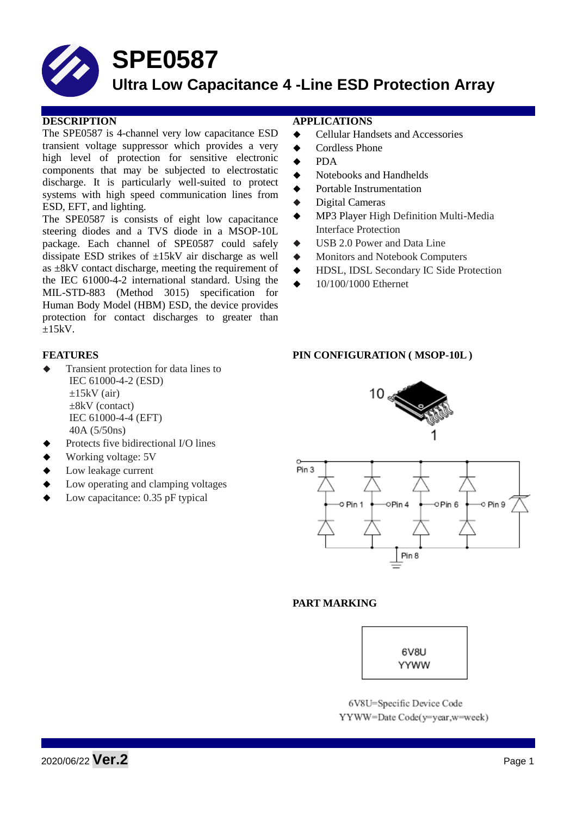# **SPE0587**

# **Ultra Low Capacitance 4 -Line ESD Protection Array**

### **DESCRIPTION APPLICATIONS**

The SPE0587 is 4-channel very low capacitance ESD transient voltage suppressor which provides a very high level of protection for sensitive electronic components that may be subjected to electrostatic discharge. It is particularly well-suited to protect systems with high speed communication lines from ESD, EFT, and lighting.

The SPE0587 is consists of eight low capacitance steering diodes and a TVS diode in a MSOP-10L package. Each channel of SPE0587 could safely dissipate ESD strikes of  $\pm 15kV$  air discharge as well as  $\pm 8kV$  contact discharge, meeting the requirement of the IEC 61000-4-2 international standard. Using the MIL-STD-883 (Method 3015) specification for Human Body Model (HBM) ESD, the device provides protection for contact discharges to greater than  $\pm 15kV$ .

- Transient protection for data lines to IEC 61000-4-2 (ESD)  $\pm 15$ kV (air) ±8kV (contact) IEC 61000-4-4 (EFT) 40A (5/50ns)
- Protects five bidirectional I/O lines
- Working voltage: 5V
- Low leakage current
- Low operating and clamping voltages
- Low capacitance: 0.35 pF typical

- Cellular Handsets and Accessories
- Cordless Phone
- PDA
- Notebooks and Handhelds
- Portable Instrumentation
- Digital Cameras
- MP3 Player High Definition Multi-Media Interface Protection
- USB 2.0 Power and Data Line
- $\blacklozenge$  Monitors and Notebook Computers
- HDSL, IDSL Secondary IC Side Protection
- 10/100/1000 Ethernet

## **FEATURES PIN CONFIGURATION ( MSOP-10L )**

# 10 $_{\rm g}$



## **PART MARKING**



6V8U=Specific Device Code YYWW=Date Code(y=year,w=week)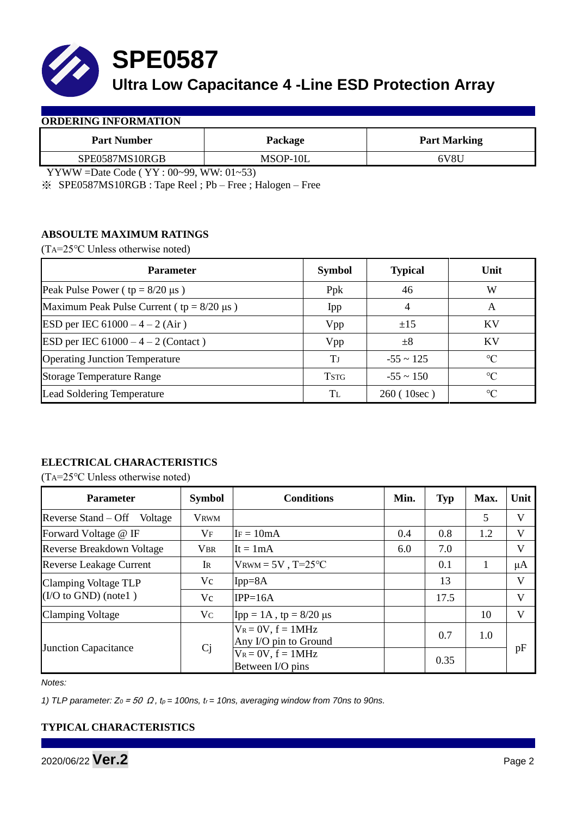

**SPE0587**

# **Ultra Low Capacitance 4 -Line ESD Protection Array**

#### **ORDERING INFORMATION**

| <b>Part Number</b> | Package  | <b>Part Marking</b> |  |  |
|--------------------|----------|---------------------|--|--|
| SPE0587MS10RGB     | MSOP-10L | 6V8U                |  |  |

YYWW =Date Code ( YY : 00~99, WW: 01~53)

※ SPE0587MS10RGB : Tape Reel ; Pb – Free ; Halogen – Free

# **ABSOULTE MAXIMUM RATINGS**

(TA=25℃ Unless otherwise noted)

| <b>Parameter</b>                                 | <b>Symbol</b> | <b>Typical</b> | Unit            |
|--------------------------------------------------|---------------|----------------|-----------------|
| Peak Pulse Power ( $tp = 8/20 \mu s$ )           | Ppk           | 46             | W               |
| Maximum Peak Pulse Current ( $tp = 8/20 \mu s$ ) | Ipp           | 4              | A               |
| ESD per IEC $61000 - 4 - 2$ (Air)                | Vpp           | ±15            | <b>KV</b>       |
| <b>ESD</b> per IEC $61000 - 4 - 2$ (Contact)     | Vpp           | $\pm 8$        | KV              |
| <b>Operating Junction Temperature</b>            | Tј            | $-55 \sim 125$ | $\rm ^{\circ}C$ |
| <b>Storage Temperature Range</b>                 | <b>TSTG</b>   | $-55 \sim 150$ | $\rm ^{\circ}C$ |
| Lead Soldering Temperature                       | Tī.           | 260 (10sec)    | $\rm ^{\circ}C$ |

# **ELECTRICAL CHARACTERISTICS**

(TA=25℃ Unless otherwise noted)

| <b>Parameter</b>                                    | <b>Symbol</b>  | <b>Conditions</b>                                | Min. | <b>Typ</b> | Max. | Unit                    |
|-----------------------------------------------------|----------------|--------------------------------------------------|------|------------|------|-------------------------|
| Reverse Stand – Off<br>Voltage                      | <b>VRWM</b>    |                                                  |      |            | 5    | V                       |
| Forward Voltage @ IF                                | $V_{\rm F}$    | $IF = 10mA$                                      | 0.4  | 0.8        | 1.2  | V                       |
| <b>Reverse Breakdown Voltage</b>                    | <b>VBR</b>     | It = $1mA$                                       | 6.0  | 7.0        |      | $\overline{\mathsf{V}}$ |
| <b>Reverse Leakage Current</b>                      | IR             | $V_{\text{RWM}} = 5V$ , T=25°C                   |      | 0.1        |      | μA                      |
| Clamping Voltage TLP<br>$($ I/O to GND $)$ (note 1) | Vc             | $Ipp = 8A$                                       |      | 13         |      | V                       |
|                                                     | Vc             | $IPP=16A$                                        |      | 17.5       |      | V                       |
| <b>Clamping Voltage</b>                             | $V_{C}$        | [Ipp = 1A, tp = $8/20$ μs                        |      |            | 10   | V                       |
| <b>Junction Capacitance</b>                         | C <sub>j</sub> | $V_R = 0V$ , $f = 1MHz$<br>Any I/O pin to Ground |      | 0.7        | 1.0  | pF                      |
|                                                     |                | $V_R = 0V$ , $f = 1MHz$<br>Between I/O pins      |      | 0.35       |      |                         |

*Notes:*

*1) TLP parameter: Z0* = 50 Ω *, tp = 100ns, tr = 10ns, averaging window from 70ns to 90ns.* 

# **TYPICAL CHARACTERISTICS**

2020/06/22 **Ver.2** Page <sup>2</sup>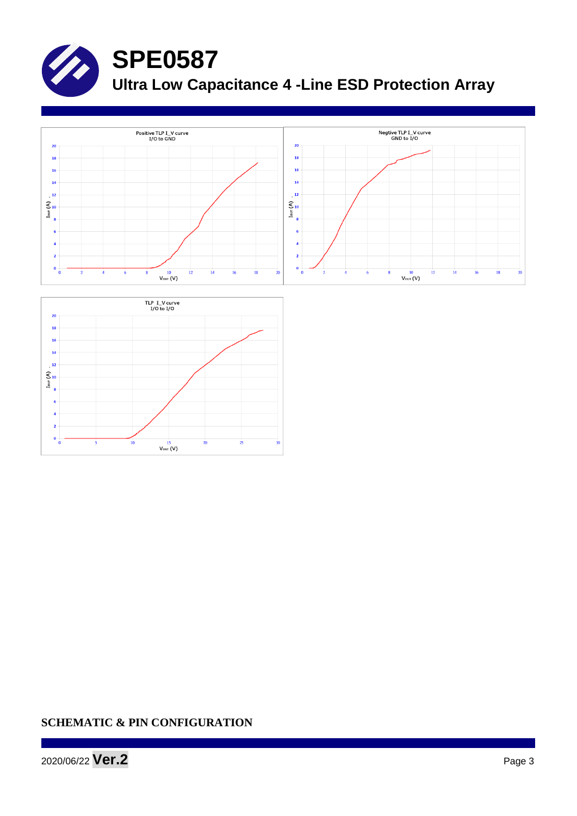

# **SPE0587**

**Ultra Low Capacitance 4 -Line ESD Protection Array**





# **SCHEMATIC & PIN CONFIGURATION**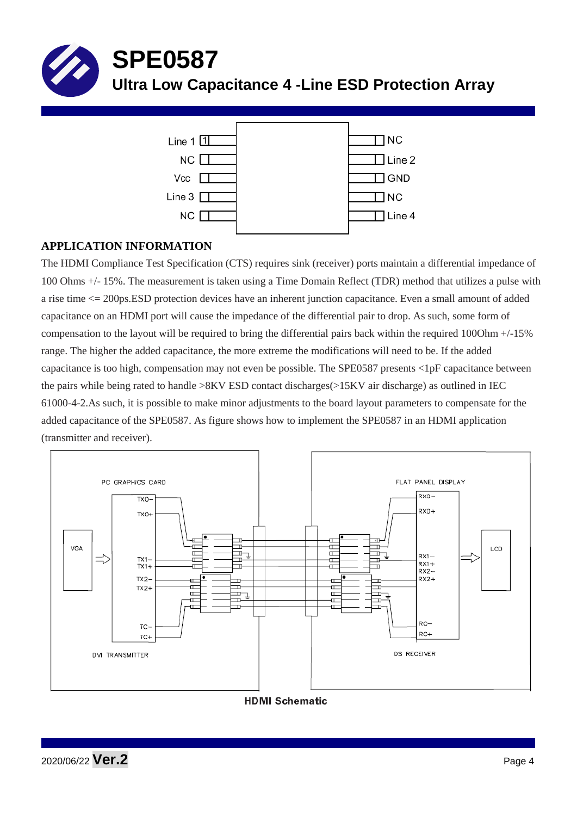



# **APPLICATION INFORMATION**

The HDMI Compliance Test Specification (CTS) requires sink (receiver) ports maintain a differential impedance of 100 Ohms +/- 15%. The measurement is taken using a Time Domain Reflect (TDR) method that utilizes a pulse with a rise time <= 200ps.ESD protection devices have an inherent junction capacitance. Even a small amount of added capacitance on an HDMI port will cause the impedance of the differential pair to drop. As such, some form of compensation to the layout will be required to bring the differential pairs back within the required 100Ohm +/-15% range. The higher the added capacitance, the more extreme the modifications will need to be. If the added capacitance is too high, compensation may not even be possible. The SPE0587 presents <1pF capacitance between the pairs while being rated to handle >8KV ESD contact discharges(>15KV air discharge) as outlined in IEC 61000-4-2.As such, it is possible to make minor adjustments to the board layout parameters to compensate for the added capacitance of the SPE0587. As figure shows how to implement the SPE0587 in an HDMI application (transmitter and receiver).



**HDMI Schematic**